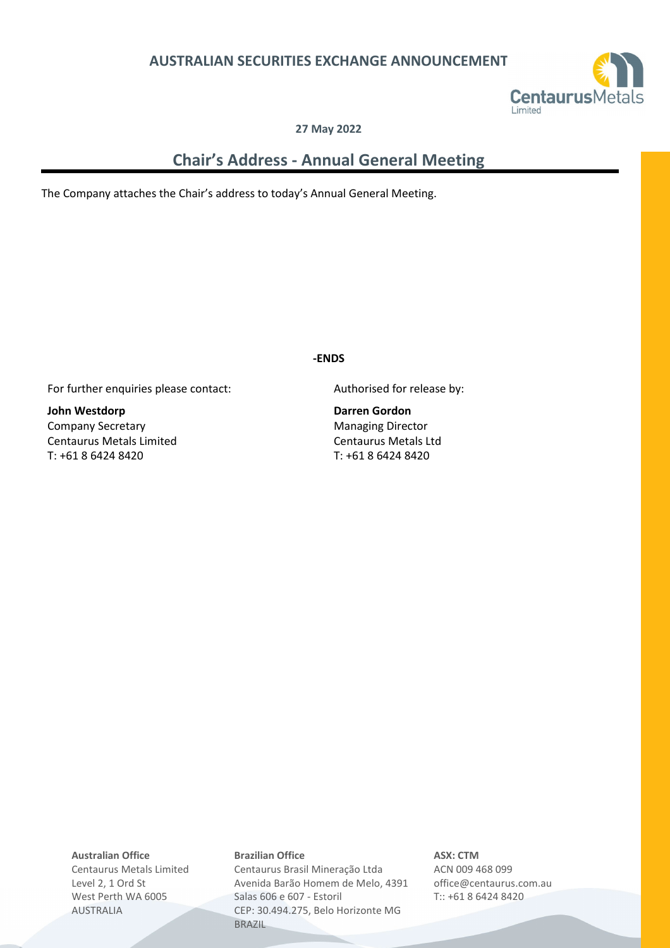## **AUSTRALIAN SECURITIES EXCHANGE ANNOUNCEMENT**



**27 May 2022**

## **Chair's Address - Annual General Meeting**

The Company attaches the Chair's address to today's Annual General Meeting.

**-ENDS**

For further enquiries please contact: Authorised for release by:

**John Westdorp** Company Secretary Centaurus Metals Limited T: +61 8 6424 8420

**Darren Gordon**  Managing Director Centaurus Metals Ltd T: +61 8 6424 8420

**Australian Office Brazilian Office ASX: CTM** Centaurus Metals Limited Centaurus Brasil Mineração Ltda ACN 009 468 099 Level 2, 1 Ord St **Avenida Barão Homem de Melo, 4391** office@centaurus.com.au West Perth WA 6005 Salas 606 e 607 - Estoril T:: +61 8 6424 8420 AUSTRALIA CEP: 30.494.275, Belo Horizonte MG BRAZIL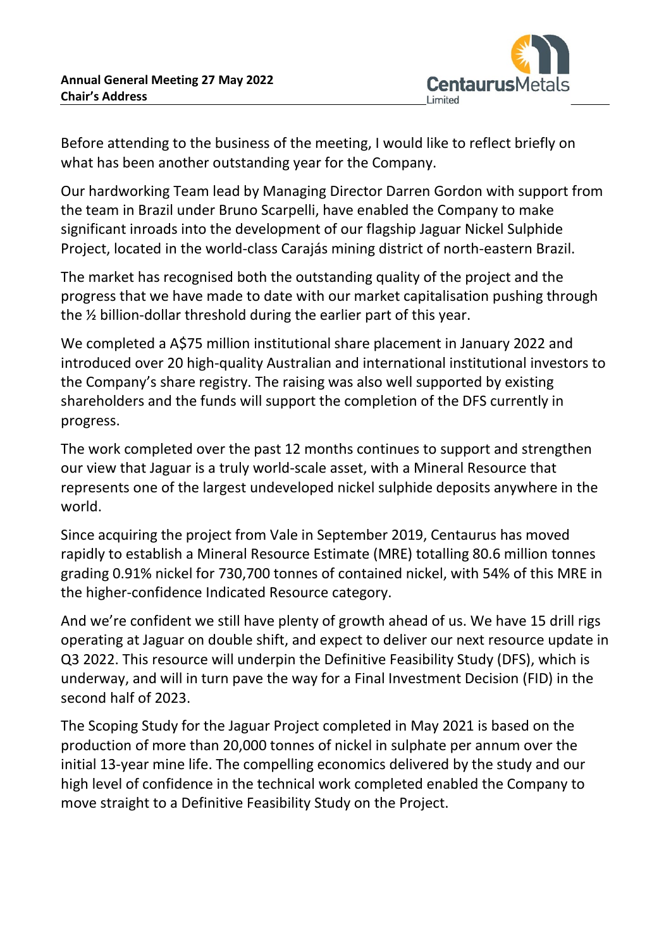

Before attending to the business of the meeting, I would like to reflect briefly on what has been another outstanding year for the Company.

Our hardworking Team lead by Managing Director Darren Gordon with support from the team in Brazil under Bruno Scarpelli, have enabled the Company to make significant inroads into the development of our flagship Jaguar Nickel Sulphide Project, located in the world-class Carajás mining district of north-eastern Brazil.

The market has recognised both the outstanding quality of the project and the progress that we have made to date with our market capitalisation pushing through the ½ billion-dollar threshold during the earlier part of this year.

We completed a A\$75 million institutional share placement in January 2022 and introduced over 20 high-quality Australian and international institutional investors to the Company's share registry. The raising was also well supported by existing shareholders and the funds will support the completion of the DFS currently in progress.

The work completed over the past 12 months continues to support and strengthen our view that Jaguar is a truly world-scale asset, with a Mineral Resource that represents one of the largest undeveloped nickel sulphide deposits anywhere in the world.

Since acquiring the project from Vale in September 2019, Centaurus has moved rapidly to establish a Mineral Resource Estimate (MRE) totalling 80.6 million tonnes grading 0.91% nickel for 730,700 tonnes of contained nickel, with 54% of this MRE in the higher-confidence Indicated Resource category.

And we're confident we still have plenty of growth ahead of us. We have 15 drill rigs operating at Jaguar on double shift, and expect to deliver our next resource update in Q3 2022. This resource will underpin the Definitive Feasibility Study (DFS), which is underway, and will in turn pave the way for a Final Investment Decision (FID) in the second half of 2023.

The Scoping Study for the Jaguar Project completed in May 2021 is based on the production of more than 20,000 tonnes of nickel in sulphate per annum over the initial 13-year mine life. The compelling economics delivered by the study and our high level of confidence in the technical work completed enabled the Company to move straight to a Definitive Feasibility Study on the Project.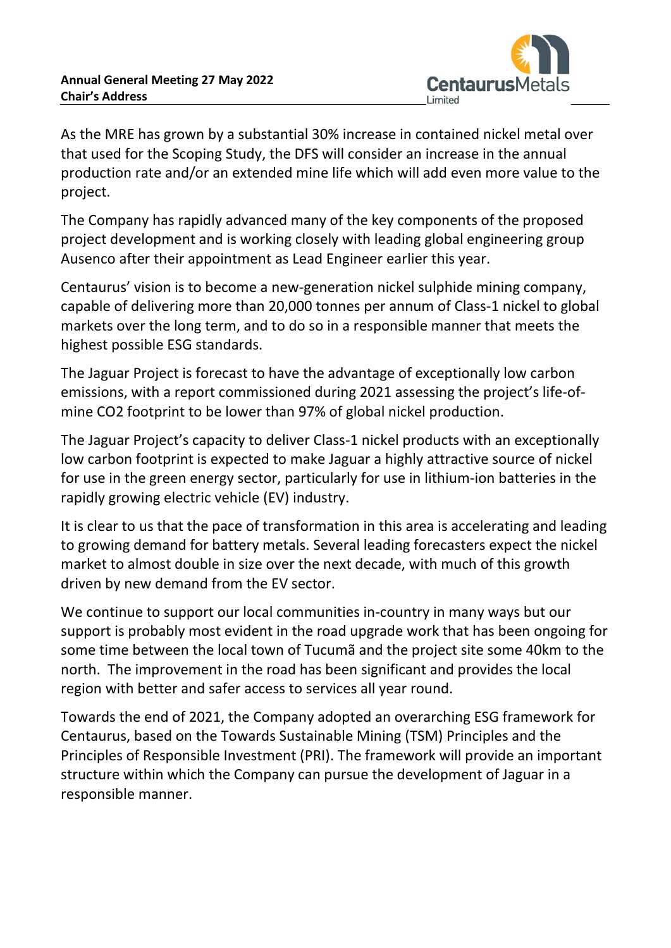

As the MRE has grown by a substantial 30% increase in contained nickel metal over that used for the Scoping Study, the DFS will consider an increase in the annual production rate and/or an extended mine life which will add even more value to the project.

The Company has rapidly advanced many of the key components of the proposed project development and is working closely with leading global engineering group Ausenco after their appointment as Lead Engineer earlier this year.

Centaurus' vision is to become a new-generation nickel sulphide mining company, capable of delivering more than 20,000 tonnes per annum of Class-1 nickel to global markets over the long term, and to do so in a responsible manner that meets the highest possible ESG standards.

The Jaguar Project is forecast to have the advantage of exceptionally low carbon emissions, with a report commissioned during 2021 assessing the project's life-ofmine CO2 footprint to be lower than 97% of global nickel production.

The Jaguar Project's capacity to deliver Class-1 nickel products with an exceptionally low carbon footprint is expected to make Jaguar a highly attractive source of nickel for use in the green energy sector, particularly for use in lithium-ion batteries in the rapidly growing electric vehicle (EV) industry.

It is clear to us that the pace of transformation in this area is accelerating and leading to growing demand for battery metals. Several leading forecasters expect the nickel market to almost double in size over the next decade, with much of this growth driven by new demand from the EV sector.

We continue to support our local communities in-country in many ways but our support is probably most evident in the road upgrade work that has been ongoing for some time between the local town of Tucumã and the project site some 40km to the north. The improvement in the road has been significant and provides the local region with better and safer access to services all year round.

Towards the end of 2021, the Company adopted an overarching ESG framework for Centaurus, based on the Towards Sustainable Mining (TSM) Principles and the Principles of Responsible Investment (PRI). The framework will provide an important structure within which the Company can pursue the development of Jaguar in a responsible manner.